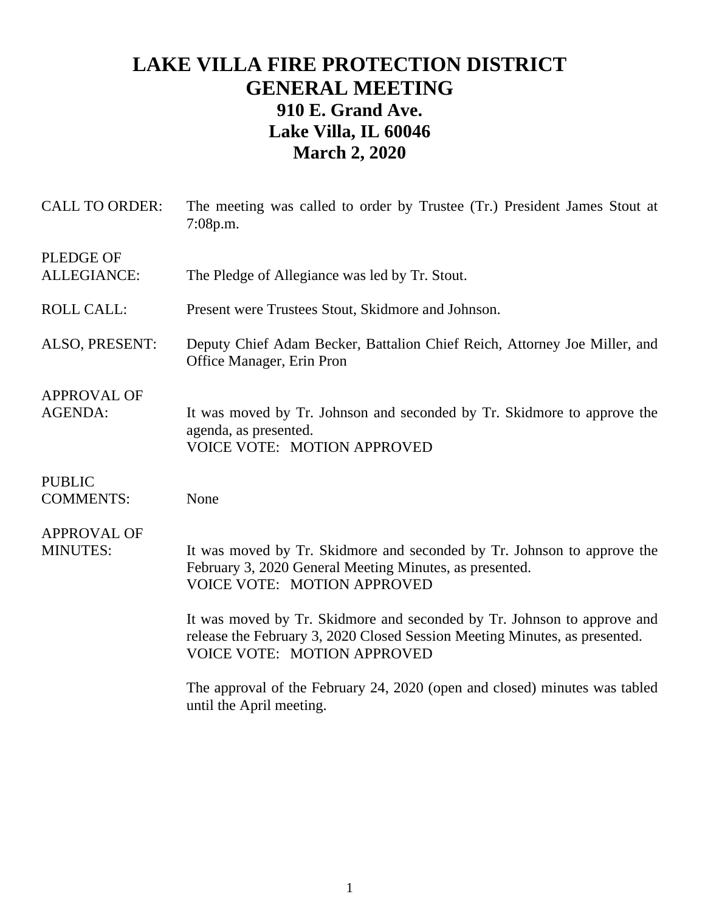## **LAKE VILLA FIRE PROTECTION DISTRICT GENERAL MEETING 910 E. Grand Ave. Lake Villa, IL 60046 March 2, 2020**

| <b>CALL TO ORDER:</b>                  | The meeting was called to order by Trustee (Tr.) President James Stout at<br>7:08p.m.                                                                                                       |
|----------------------------------------|---------------------------------------------------------------------------------------------------------------------------------------------------------------------------------------------|
| <b>PLEDGE OF</b><br><b>ALLEGIANCE:</b> | The Pledge of Allegiance was led by Tr. Stout.                                                                                                                                              |
| <b>ROLL CALL:</b>                      | Present were Trustees Stout, Skidmore and Johnson.                                                                                                                                          |
| ALSO, PRESENT:                         | Deputy Chief Adam Becker, Battalion Chief Reich, Attorney Joe Miller, and<br>Office Manager, Erin Pron                                                                                      |
| <b>APPROVAL OF</b><br><b>AGENDA:</b>   | It was moved by Tr. Johnson and seconded by Tr. Skidmore to approve the<br>agenda, as presented.<br><b>VOICE VOTE: MOTION APPROVED</b>                                                      |
| <b>PUBLIC</b><br><b>COMMENTS:</b>      | None                                                                                                                                                                                        |
| <b>APPROVAL OF</b><br><b>MINUTES:</b>  | It was moved by Tr. Skidmore and seconded by Tr. Johnson to approve the<br>February 3, 2020 General Meeting Minutes, as presented.<br><b>VOICE VOTE: MOTION APPROVED</b>                    |
|                                        | It was moved by Tr. Skidmore and seconded by Tr. Johnson to approve and<br>release the February 3, 2020 Closed Session Meeting Minutes, as presented.<br><b>VOICE VOTE: MOTION APPROVED</b> |
|                                        | The approval of the February 24, 2020 (open and closed) minutes was tabled<br>until the April meeting.                                                                                      |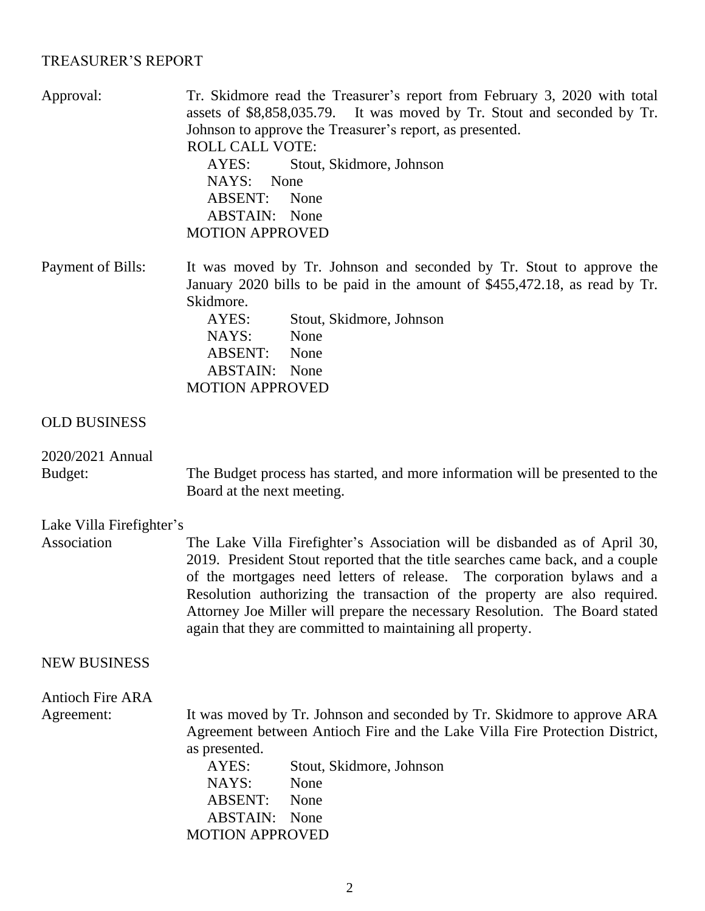## TREASURER'S REPORT

| assets of \$8,858,035.79. It was moved by Tr. Stout and seconded by Tr.<br>Johnson to approve the Treasurer's report, as presented.<br><b>ROLL CALL VOTE:</b><br>AYES:<br>Stout, Skidmore, Johnson<br>NAYS:<br>None<br><b>ABSENT:</b><br>None<br><b>ABSTAIN:</b> None<br><b>MOTION APPROVED</b>                                                                                                                                                                  |
|------------------------------------------------------------------------------------------------------------------------------------------------------------------------------------------------------------------------------------------------------------------------------------------------------------------------------------------------------------------------------------------------------------------------------------------------------------------|
| It was moved by Tr. Johnson and seconded by Tr. Stout to approve the<br>January 2020 bills to be paid in the amount of \$455,472.18, as read by Tr.<br>Skidmore.<br>AYES:<br>Stout, Skidmore, Johnson<br>NAYS:<br>None<br>ABSENT:<br>None<br><b>ABSTAIN:</b> None<br><b>MOTION APPROVED</b>                                                                                                                                                                      |
|                                                                                                                                                                                                                                                                                                                                                                                                                                                                  |
| The Budget process has started, and more information will be presented to the<br>Board at the next meeting.                                                                                                                                                                                                                                                                                                                                                      |
| Lake Villa Firefighter's                                                                                                                                                                                                                                                                                                                                                                                                                                         |
| The Lake Villa Firefighter's Association will be disbanded as of April 30,<br>2019. President Stout reported that the title searches came back, and a couple<br>of the mortgages need letters of release. The corporation bylaws and a<br>Resolution authorizing the transaction of the property are also required.<br>Attorney Joe Miller will prepare the necessary Resolution. The Board stated<br>again that they are committed to maintaining all property. |
|                                                                                                                                                                                                                                                                                                                                                                                                                                                                  |
| It was moved by Tr. Johnson and seconded by Tr. Skidmore to approve ARA<br>Agreement between Antioch Fire and the Lake Villa Fire Protection District,<br>as presented.<br>AYES:<br>Stout, Skidmore, Johnson<br>NAYS:<br>None<br><b>ABSENT:</b><br>None<br><b>ABSTAIN:</b><br>None<br><b>MOTION APPROVED</b>                                                                                                                                                     |
|                                                                                                                                                                                                                                                                                                                                                                                                                                                                  |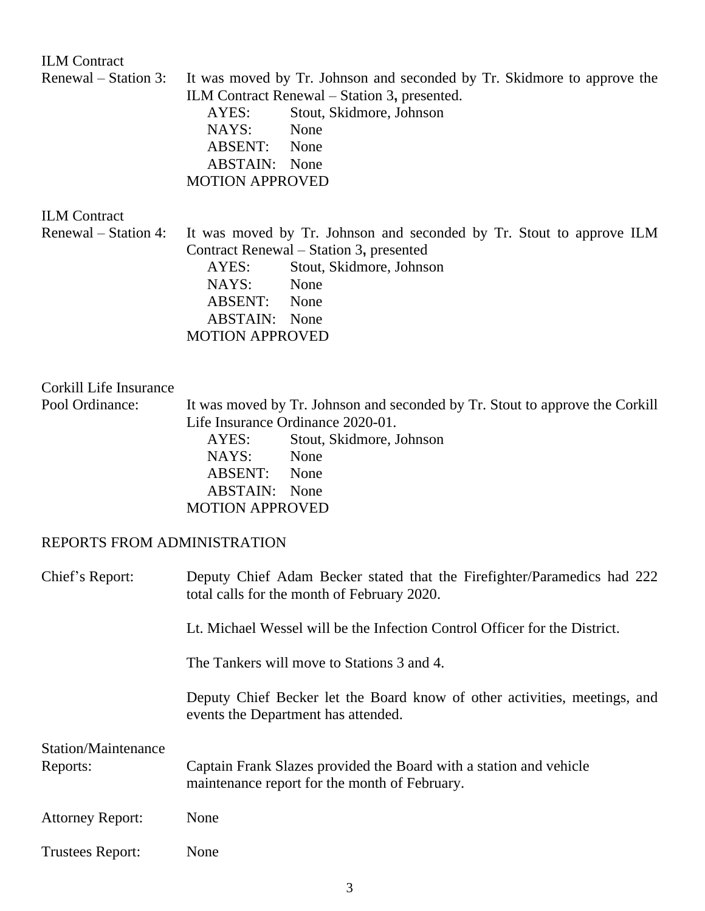ILM Contract Renewal – Station 3: It was moved by Tr. Johnson and seconded by Tr. Skidmore to approve the ILM Contract Renewal – Station 3**,** presented. AYES: Stout, Skidmore, Johnson NAYS: None ABSENT: None ABSTAIN: None MOTION APPROVED ILM Contract Renewal – Station 4: It was moved by Tr. Johnson and seconded by Tr. Stout to approve ILM Contract Renewal – Station 3**,** presented AYES: Stout, Skidmore, Johnson NAYS: None ABSENT: None ABSTAIN: None MOTION APPROVED Corkill Life Insurance Pool Ordinance: It was moved by Tr. Johnson and seconded by Tr. Stout to approve the Corkill Life Insurance Ordinance 2020-01. AYES: Stout, Skidmore, Johnson NAYS: None ABSENT: None ABSTAIN: None MOTION APPROVED REPORTS FROM ADMINISTRATION Chief's Report: Deputy Chief Adam Becker stated that the Firefighter/Paramedics had 222 total calls for the month of February 2020. Lt. Michael Wessel will be the Infection Control Officer for the District. The Tankers will move to Stations 3 and 4. Deputy Chief Becker let the Board know of other activities, meetings, and events the Department has attended. Station/Maintenance Reports: Captain Frank Slazes provided the Board with a station and vehicle maintenance report for the month of February. Attorney Report: None Trustees Report: None